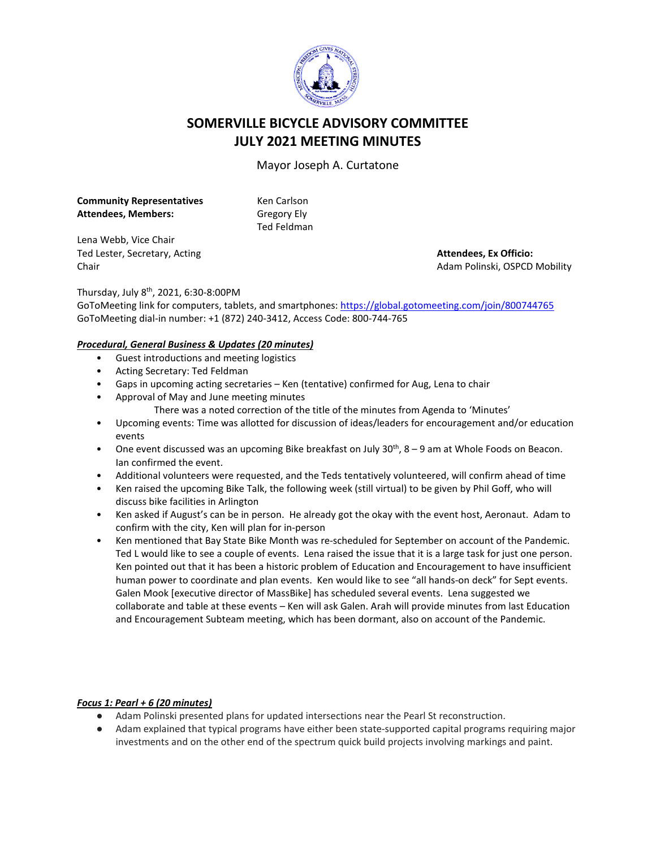

# **SOMERVILLE BICYCLE ADVISORY COMMITTEE JULY 2021 MEETING MINUTES**

Mayor Joseph A. Curtatone

**Community Representatives Attendees, Members:** 

Ken Carlson Gregory Ely Ted Feldman

Lena Webb, Vice Chair Ted Lester, Secretary, Acting Chair

**Attendees, Ex Officio:** Adam Polinski, OSPCD Mobility

Thursday, July 8th, 2021, 6:30-8:00PM

GoToMeeting link for computers, tablets, and smartphones: <https://global.gotomeeting.com/join/800744765> GoToMeeting dial-in number: +1 (872) 240-3412, Access Code: 800-744-765

# *Procedural, General Business & Updates (20 minutes)*

- Guest introductions and meeting logistics
- Acting Secretary: Ted Feldman
- Gaps in upcoming acting secretaries Ken (tentative) confirmed for Aug, Lena to chair
- Approval of May and June meeting minutes
	- There was a noted correction of the title of the minutes from Agenda to 'Minutes'
- Upcoming events: Time was allotted for discussion of ideas/leaders for encouragement and/or education events
- One event discussed was an upcoming Bike breakfast on July  $30^{th}$ ,  $8 9$  am at Whole Foods on Beacon. Ian confirmed the event.
- Additional volunteers were requested, and the Teds tentatively volunteered, will confirm ahead of time
- Ken raised the upcoming Bike Talk, the following week (still virtual) to be given by Phil Goff, who will discuss bike facilities in Arlington
- Ken asked if August's can be in person. He already got the okay with the event host, Aeronaut. Adam to confirm with the city, Ken will plan for in-person
- Ken mentioned that Bay State Bike Month was re-scheduled for September on account of the Pandemic. Ted L would like to see a couple of events. Lena raised the issue that it is a large task for just one person. Ken pointed out that it has been a historic problem of Education and Encouragement to have insufficient human power to coordinate and plan events. Ken would like to see "all hands-on deck" for Sept events. Galen Mook [executive director of MassBike] has scheduled several events. Lena suggested we collaborate and table at these events – Ken will ask Galen. Arah will provide minutes from last Education and Encouragement Subteam meeting, which has been dormant, also on account of the Pandemic.

# *Focus 1: Pearl + 6 (20 minutes)*

- Adam Polinski presented plans for updated intersections near the Pearl St reconstruction.
- Adam explained that typical programs have either been state-supported capital programs requiring major investments and on the other end of the spectrum quick build projects involving markings and paint.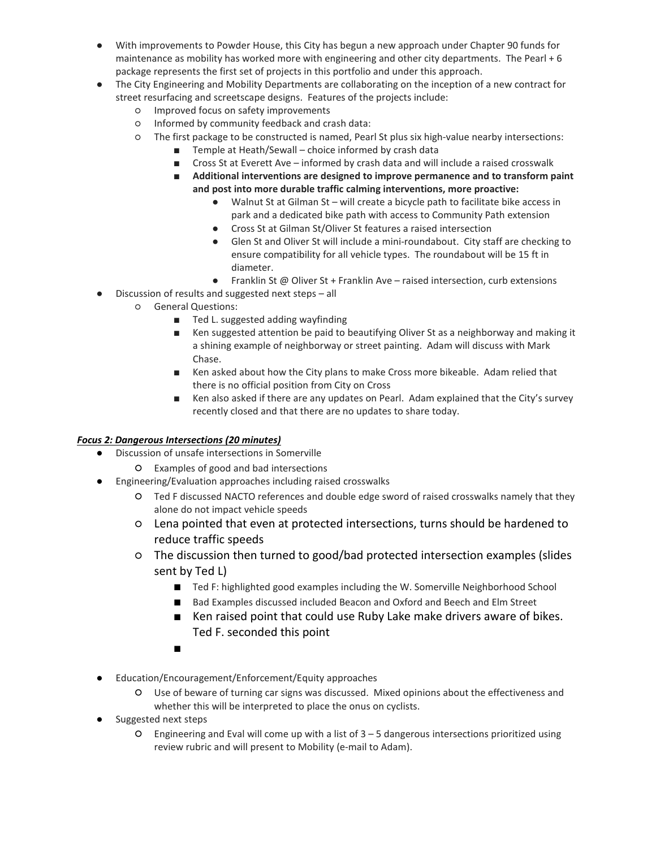- With improvements to Powder House, this City has begun a new approach under Chapter 90 funds for maintenance as mobility has worked more with engineering and other city departments. The Pearl + 6 package represents the first set of projects in this portfolio and under this approach.
- The City Engineering and Mobility Departments are collaborating on the inception of a new contract for street resurfacing and screetscape designs. Features of the projects include:
	- Improved focus on safety improvements
	- Informed by community feedback and crash data:
	- The first package to be constructed is named, Pearl St plus six high-value nearby intersections:
		- Temple at Heath/Sewall choice informed by crash data
		- Cross St at Everett Ave informed by crash data and will include a raised crosswalk
		- **Additional interventions are designed to improve permanence and to transform paint and post into more durable traffic calming interventions, more proactive:**
			- Walnut St at Gilman St will create a bicycle path to facilitate bike access in park and a dedicated bike path with access to Community Path extension
			- Cross St at Gilman St/Oliver St features a raised intersection
			- Glen St and Oliver St will include a mini-roundabout. City staff are checking to ensure compatibility for all vehicle types. The roundabout will be 15 ft in diameter.
			- Franklin St @ Oliver St + Franklin Ave raised intersection, curb extensions
- Discussion of results and suggested next steps all
	- General Questions:
		- Ted L. suggested adding wayfinding
		- Ken suggested attention be paid to beautifying Oliver St as a neighborway and making it a shining example of neighborway or street painting. Adam will discuss with Mark Chase.
		- Ken asked about how the City plans to make Cross more bikeable. Adam relied that there is no official position from City on Cross
		- Ken also asked if there are any updates on Pearl. Adam explained that the City's survey recently closed and that there are no updates to share today.

# *Focus 2: Dangerous Intersections (20 minutes)*

- Discussion of unsafe intersections in Somerville
	- Examples of good and bad intersections
- Engineering/Evaluation approaches including raised crosswalks
	- Ted F discussed NACTO references and double edge sword of raised crosswalks namely that they alone do not impact vehicle speeds
	- Lena pointed that even at protected intersections, turns should be hardened to reduce traffic speeds
	- The discussion then turned to good/bad protected intersection examples (slides sent by Ted L)
		- Ted F: highlighted good examples including the W. Somerville Neighborhood School
		- Bad Examples discussed included Beacon and Oxford and Beech and Elm Street
		- Ken raised point that could use Ruby Lake make drivers aware of bikes. Ted F. seconded this point
		- ■
- Education/Encouragement/Enforcement/Equity approaches
	- Use of beware of turning car signs was discussed. Mixed opinions about the effectiveness and whether this will be interpreted to place the onus on cyclists.
- Suggested next steps
	- $O$  Engineering and Eval will come up with a list of  $3 5$  dangerous intersections prioritized using review rubric and will present to Mobility (e-mail to Adam).